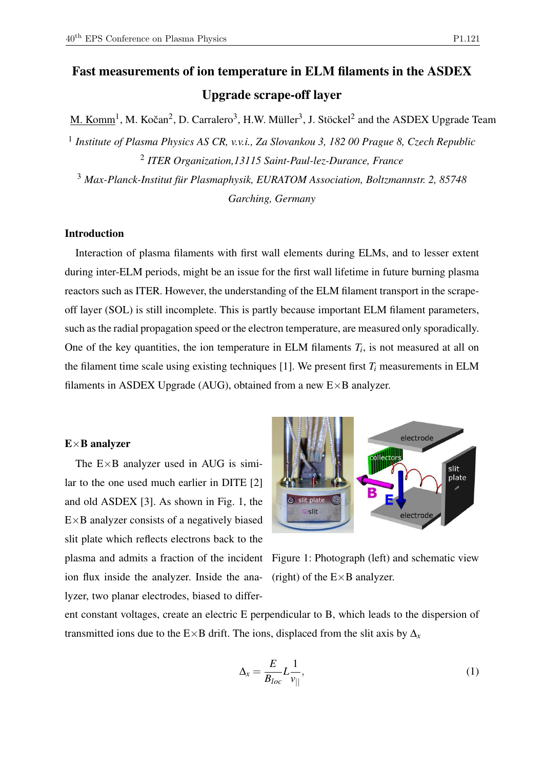# Fast measurements of ion temperature in ELM filaments in the ASDEX Upgrade scrape-off layer

M. Komm<sup>1</sup>, M. Kočan<sup>2</sup>, D. Carralero<sup>3</sup>, H.W. Müller<sup>3</sup>, J. Stöckel<sup>2</sup> and the ASDEX Upgrade Team

1 *Institute of Plasma Physics AS CR, v.v.i., Za Slovankou 3, 182 00 Prague 8, Czech Republic* 2 *ITER Organization,13115 Saint-Paul-lez-Durance, France*

<sup>3</sup> *Max-Planck-Institut für Plasmaphysik, EURATOM Association, Boltzmannstr. 2, 85748 Garching, Germany*

# Introduction

Interaction of plasma filaments with first wall elements during ELMs, and to lesser extent during inter-ELM periods, might be an issue for the first wall lifetime in future burning plasma reactors such as ITER. However, the understanding of the ELM filament transport in the scrapeoff layer (SOL) is still incomplete. This is partly because important ELM filament parameters, such as the radial propagation speed or the electron temperature, are measured only sporadically. One of the key quantities, the ion temperature in ELM filaments  $T_i$ , is not measured at all on the filament time scale using existing techniques [1]. We present first  $T_i$  measurements in ELM filaments in ASDEX Upgrade (AUG), obtained from a new E×B analyzer.

# $E \times B$  analyzer

The  $E \times B$  analyzer used in AUG is similar to the one used much earlier in DITE [2] and old ASDEX [3]. As shown in Fig. 1, the  $E \times B$  analyzer consists of a negatively biased slit plate which reflects electrons back to the ion flux inside the analyzer. Inside the analyzer, two planar electrodes, biased to differ-



plasma and admits a fraction of the incident Figure 1: Photograph (left) and schematic view (right) of the  $E \times B$  analyzer.

ent constant voltages, create an electric E perpendicular to B, which leads to the dispersion of transmitted ions due to the E×B drift. The ions, displaced from the slit axis by  $\Delta$ <sub>x</sub>

$$
\Delta_x = \frac{E}{B_{loc}} L \frac{1}{v_{||}},\tag{1}
$$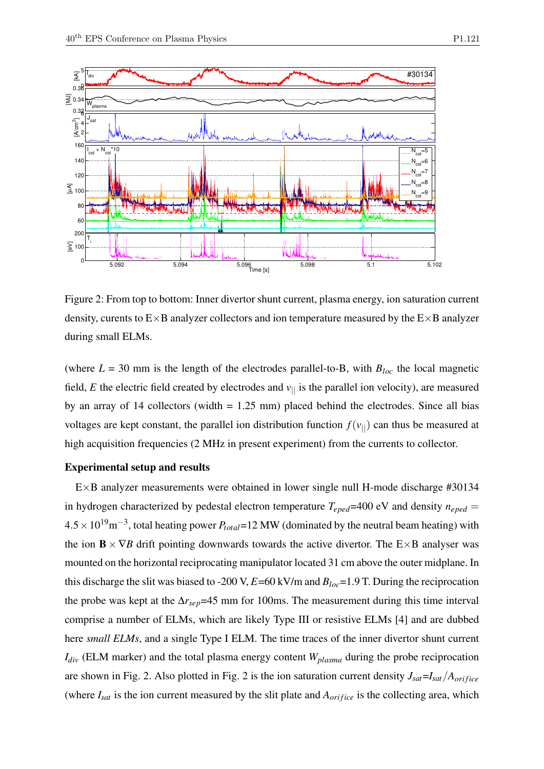

Figure 2: From top to bottom: Inner divertor shunt current, plasma energy, ion saturation current density, curents to  $E \times B$  analyzer collectors and ion temperature measured by the  $E \times B$  analyzer during small ELMs.

(where  $L = 30$  mm is the length of the electrodes parallel-to-B, with  $B_{loc}$  the local magnetic field, *E* the electric field created by electrodes and  $v_{\parallel}$  is the parallel ion velocity), are measured by an array of 14 collectors (width  $= 1.25$  mm) placed behind the electrodes. Since all bias voltages are kept constant, the parallel ion distribution function  $f(v_{\parallel})$  can thus be measured at high acquisition frequencies (2 MHz in present experiment) from the currents to collector.

#### Experimental setup and results

E×B analyzer measurements were obtained in lower single null H-mode discharge #30134 in hydrogen characterized by pedestal electron temperature  $T_{eped}$  =400 eV and density  $n_{eped}$  = 4.5×1019m−<sup>3</sup> , total heating power *Ptotal*=12 MW (dominated by the neutral beam heating) with the ion  $\mathbf{B} \times \nabla B$  drift pointing downwards towards the active divertor. The E×B analyser was mounted on the horizontal reciprocating manipulator located 31 cm above the outer midplane. In this discharge the slit was biased to -200 V,  $E=60$  kV/m and  $B_{loc}=1.9$  T. During the reciprocation the probe was kept at the ∆*rsep*=45 mm for 100ms. The measurement during this time interval comprise a number of ELMs, which are likely Type III or resistive ELMs [4] and are dubbed here *small ELMs*, and a single Type I ELM. The time traces of the inner divertor shunt current *Idiv* (ELM marker) and the total plasma energy content *Wplasma* during the probe reciprocation are shown in Fig. 2. Also plotted in Fig. 2 is the ion saturation current density  $J_{sat} = I_{sat}/A_{orifice}$ (where  $I_{sat}$  is the ion current measured by the slit plate and  $A_{orifice}$  is the collecting area, which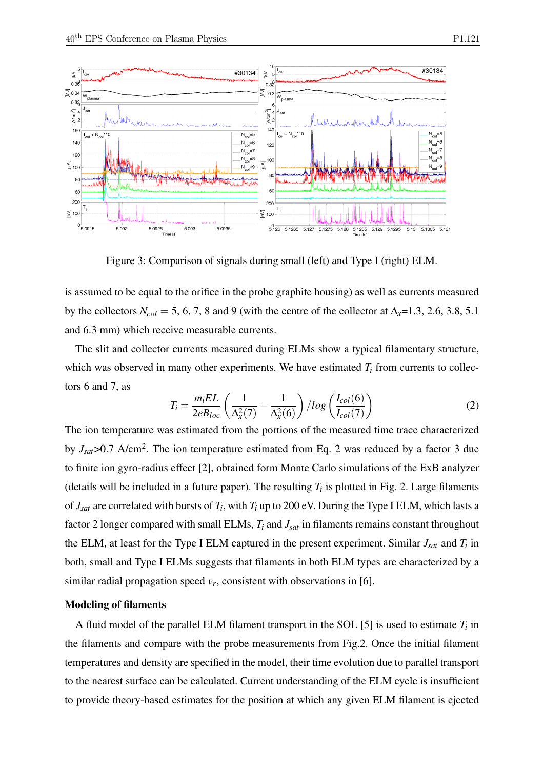

Figure 3: Comparison of signals during small (left) and Type I (right) ELM.

is assumed to be equal to the orifice in the probe graphite housing) as well as currents measured by the collectors  $N_{col} = 5, 6, 7, 8$  and 9 (with the centre of the collector at  $\Delta_{x} = 1.3, 2.6, 3.8, 5.1$ and 6.3 mm) which receive measurable currents.

The slit and collector currents measured during ELMs show a typical filamentary structure, which was observed in many other experiments. We have estimated  $T_i$  from currents to collectors 6 and 7, as

$$
T_i = \frac{m_i EL}{2eB_{loc}} \left(\frac{1}{\Delta_x^2(7)} - \frac{1}{\Delta_x^2(6)}\right) / log\left(\frac{I_{col}(6)}{I_{col}(7)}\right)
$$
(2)

The ion temperature was estimated from the portions of the measured time trace characterized by  $J_{sat}$ >0.7 A/cm<sup>2</sup>. The ion temperature estimated from Eq. 2 was reduced by a factor 3 due to finite ion gyro-radius effect [2], obtained form Monte Carlo simulations of the ExB analyzer (details will be included in a future paper). The resulting  $T_i$  is plotted in Fig. 2. Large filaments of  $J_{sat}$  are correlated with bursts of  $T_i$ , with  $T_i$  up to 200 eV. During the Type I ELM, which lasts a factor 2 longer compared with small ELMs, *T<sup>i</sup>* and *Jsat* in filaments remains constant throughout the ELM, at least for the Type I ELM captured in the present experiment. Similar  $J_{sat}$  and  $T_i$  in both, small and Type I ELMs suggests that filaments in both ELM types are characterized by a similar radial propagation speed  $v_r$ , consistent with observations in [6].

## Modeling of filaments

A fluid model of the parallel ELM filament transport in the SOL [5] is used to estimate *T<sup>i</sup>* in the filaments and compare with the probe measurements from Fig.2. Once the initial filament temperatures and density are specified in the model, their time evolution due to parallel transport to the nearest surface can be calculated. Current understanding of the ELM cycle is insufficient to provide theory-based estimates for the position at which any given ELM filament is ejected